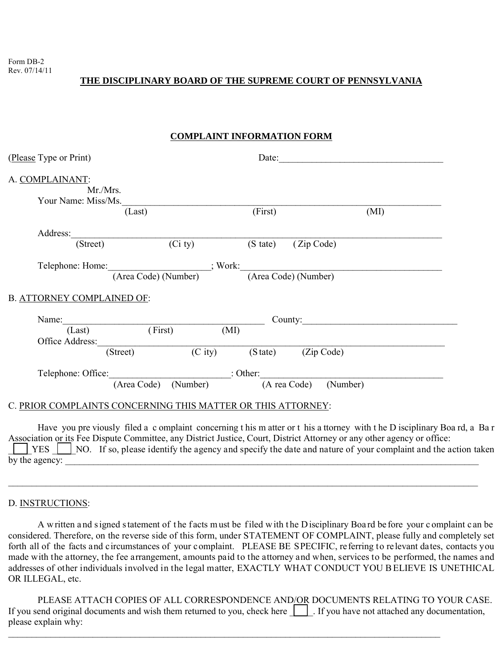Form DB-2 Rev. 07/14/11

# **THE DISCIPLINARY BOARD OF THE SUPREME COURT OF PENNSYLVANIA**

## **COMPLAINT INFORMATION FORM**

| (Please Type or Print)                                                                |                      |                                                             | Date:              |            |         |      |  |
|---------------------------------------------------------------------------------------|----------------------|-------------------------------------------------------------|--------------------|------------|---------|------|--|
| A. COMPLAINANT:                                                                       |                      |                                                             |                    |            |         |      |  |
| Mr./Mrs.                                                                              |                      |                                                             |                    |            |         |      |  |
| Your Name: Miss/Ms.                                                                   |                      |                                                             |                    |            |         |      |  |
|                                                                                       | (Last)               | (First)                                                     |                    |            |         | (MI) |  |
| Address:                                                                              |                      |                                                             |                    |            |         |      |  |
| (Street)                                                                              | $\overline{(Ci ty)}$ |                                                             | $(S \text{ tate})$ | (Zip Code) |         |      |  |
|                                                                                       |                      |                                                             |                    |            |         |      |  |
|                                                                                       |                      |                                                             |                    |            |         |      |  |
| Telephone: Home: (Area Code) (Number)<br>(Area Code) (Number)<br>(Area Code) (Number) |                      |                                                             |                    |            |         |      |  |
|                                                                                       |                      |                                                             |                    |            |         |      |  |
|                                                                                       |                      |                                                             |                    |            |         |      |  |
|                                                                                       |                      |                                                             |                    |            | County: |      |  |
|                                                                                       |                      |                                                             |                    |            |         |      |  |
|                                                                                       | (Last) (First) (MI)  |                                                             |                    |            |         |      |  |
| B. ATTORNEY COMPLAINED OF:                                                            | (Street)             | $\overline{(City)}$ $(S \text{ tate})$ $(Zip \text{ Code})$ |                    |            |         |      |  |
|                                                                                       |                      |                                                             |                    |            |         |      |  |

#### C. PRIOR COMPLAINTS CONCERNING THIS MATTER OR THIS ATTORNEY:

Have you pre viously filed a c omplaint concerning t his m atter or t his a ttorney with t he D isciplinary Boa rd, a Ba r Association or its Fee Dispute Committee, any District Justice, Court, District Attorney or any other agency or office:  $\Sigma$  YES  $\Sigma$  NO. If so, please identify the agency and specify the date and nature of your complaint and the action taken by the agency:

\_\_\_\_\_\_\_\_\_\_\_\_\_\_\_\_\_\_\_\_\_\_\_\_\_\_\_\_\_\_\_\_\_\_\_\_\_\_\_\_\_\_\_\_\_\_\_\_\_\_\_\_\_\_\_\_\_\_\_\_\_\_\_\_\_\_\_\_\_\_\_\_\_\_\_\_\_\_\_\_\_\_\_\_\_\_\_\_\_\_\_\_\_\_\_\_\_\_\_\_

## D. INSTRUCTIONS:

A w ritten a nd s igned s tatement of t he f acts m ust be f iled w ith t he D isciplinary Boa rd be fore your c omplaint c an be considered. Therefore, on the reverse side of this form, under STATEMENT OF COMPLAINT, please fully and completely set forth all of the facts and circumstances of your complaint. PLEASE BE SPECIFIC, referring to relevant dates, contacts you made with the attorney, the fee arrangement, amounts paid to the attorney and when, services to be performed, the names and addresses of other individuals involved in the legal matter, EXACTLY WHAT CONDUCT YOU B ELIEVE IS UNETHICAL OR ILLEGAL, etc.

PLEASE ATTACH COPIES OF ALL CORRESPONDENCE AND/OR DOCUMENTS RELATING TO YOUR CASE. If you send original documents and wish them returned to you, check here  $\Box$ . If you have not attached any documentation, please explain why:

 $\_$  ,  $\_$  ,  $\_$  ,  $\_$  ,  $\_$  ,  $\_$  ,  $\_$  ,  $\_$  ,  $\_$  ,  $\_$  ,  $\_$  ,  $\_$  ,  $\_$  ,  $\_$  ,  $\_$  ,  $\_$  ,  $\_$  ,  $\_$  ,  $\_$  ,  $\_$  ,  $\_$  ,  $\_$  ,  $\_$  ,  $\_$  ,  $\_$  ,  $\_$  ,  $\_$  ,  $\_$  ,  $\_$  ,  $\_$  ,  $\_$  ,  $\_$  ,  $\_$  ,  $\_$  ,  $\_$  ,  $\_$  ,  $\_$  ,